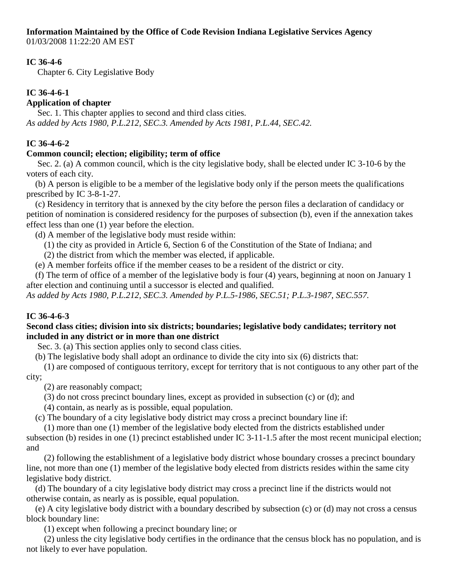**Information Maintained by the Office of Code Revision Indiana Legislative Services Agency**

01/03/2008 11:22:20 AM EST

## **IC 36-4-6**

Chapter 6. City Legislative Body

# **IC 36-4-6-1**

# **Application of chapter**

Sec. 1. This chapter applies to second and third class cities. *As added by Acts 1980, P.L.212, SEC.3. Amended by Acts 1981, P.L.44, SEC.42.*

# **IC 36-4-6-2**

# **Common council; election; eligibility; term of office**

Sec. 2. (a) A common council, which is the city legislative body, shall be elected under IC 3-10-6 by the voters of each city.

 (b) A person is eligible to be a member of the legislative body only if the person meets the qualifications prescribed by IC 3-8-1-27.

 (c) Residency in territory that is annexed by the city before the person files a declaration of candidacy or petition of nomination is considered residency for the purposes of subsection (b), even if the annexation takes effect less than one (1) year before the election.

(d) A member of the legislative body must reside within:

(1) the city as provided in Article 6, Section 6 of the Constitution of the State of Indiana; and

(2) the district from which the member was elected, if applicable.

(e) A member forfeits office if the member ceases to be a resident of the district or city.

 (f) The term of office of a member of the legislative body is four (4) years, beginning at noon on January 1 after election and continuing until a successor is elected and qualified.

*As added by Acts 1980, P.L.212, SEC.3. Amended by P.L.5-1986, SEC.51; P.L.3-1987, SEC.557.*

# **IC 36-4-6-3**

## **Second class cities; division into six districts; boundaries; legislative body candidates; territory not included in any district or in more than one district**

Sec. 3. (a) This section applies only to second class cities.

(b) The legislative body shall adopt an ordinance to divide the city into six (6) districts that:

 (1) are composed of contiguous territory, except for territory that is not contiguous to any other part of the city;

(2) are reasonably compact;

(3) do not cross precinct boundary lines, except as provided in subsection (c) or (d); and

(4) contain, as nearly as is possible, equal population.

(c) The boundary of a city legislative body district may cross a precinct boundary line if:

 (1) more than one (1) member of the legislative body elected from the districts established under subsection (b) resides in one (1) precinct established under IC 3-11-1.5 after the most recent municipal election; and

 (2) following the establishment of a legislative body district whose boundary crosses a precinct boundary line, not more than one (1) member of the legislative body elected from districts resides within the same city legislative body district.

 (d) The boundary of a city legislative body district may cross a precinct line if the districts would not otherwise contain, as nearly as is possible, equal population.

 (e) A city legislative body district with a boundary described by subsection (c) or (d) may not cross a census block boundary line:

(1) except when following a precinct boundary line; or

 (2) unless the city legislative body certifies in the ordinance that the census block has no population, and is not likely to ever have population.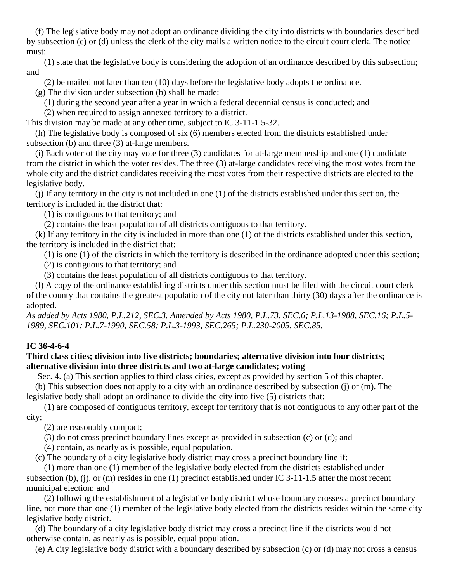(f) The legislative body may not adopt an ordinance dividing the city into districts with boundaries described by subsection (c) or (d) unless the clerk of the city mails a written notice to the circuit court clerk. The notice must:

 (1) state that the legislative body is considering the adoption of an ordinance described by this subsection; and

(2) be mailed not later than ten (10) days before the legislative body adopts the ordinance.

(g) The division under subsection (b) shall be made:

(1) during the second year after a year in which a federal decennial census is conducted; and

(2) when required to assign annexed territory to a district.

This division may be made at any other time, subject to IC 3-11-1.5-32.

 (h) The legislative body is composed of six (6) members elected from the districts established under subsection (b) and three (3) at-large members.

 (i) Each voter of the city may vote for three (3) candidates for at-large membership and one (1) candidate from the district in which the voter resides. The three (3) at-large candidates receiving the most votes from the whole city and the district candidates receiving the most votes from their respective districts are elected to the legislative body.

 (j) If any territory in the city is not included in one (1) of the districts established under this section, the territory is included in the district that:

(1) is contiguous to that territory; and

(2) contains the least population of all districts contiguous to that territory.

 (k) If any territory in the city is included in more than one (1) of the districts established under this section, the territory is included in the district that:

(1) is one (1) of the districts in which the territory is described in the ordinance adopted under this section;

(2) is contiguous to that territory; and

(3) contains the least population of all districts contiguous to that territory.

 (l) A copy of the ordinance establishing districts under this section must be filed with the circuit court clerk of the county that contains the greatest population of the city not later than thirty (30) days after the ordinance is adopted.

*As added by Acts 1980, P.L.212, SEC.3. Amended by Acts 1980, P.L.73, SEC.6; P.L.13-1988, SEC.16; P.L.5- 1989, SEC.101; P.L.7-1990, SEC.58; P.L.3-1993, SEC.265; P.L.230-2005, SEC.85.*

# **IC 36-4-6-4**

## **Third class cities; division into five districts; boundaries; alternative division into four districts; alternative division into three districts and two at-large candidates; voting**

Sec. 4. (a) This section applies to third class cities, except as provided by section 5 of this chapter.

 (b) This subsection does not apply to a city with an ordinance described by subsection (j) or (m). The legislative body shall adopt an ordinance to divide the city into five (5) districts that:

 (1) are composed of contiguous territory, except for territory that is not contiguous to any other part of the city;

(2) are reasonably compact;

(3) do not cross precinct boundary lines except as provided in subsection (c) or (d); and

(4) contain, as nearly as is possible, equal population.

(c) The boundary of a city legislative body district may cross a precinct boundary line if:

 (1) more than one (1) member of the legislative body elected from the districts established under subsection (b), (j), or (m) resides in one (1) precinct established under IC 3-11-1.5 after the most recent municipal election; and

 (2) following the establishment of a legislative body district whose boundary crosses a precinct boundary line, not more than one (1) member of the legislative body elected from the districts resides within the same city legislative body district.

 (d) The boundary of a city legislative body district may cross a precinct line if the districts would not otherwise contain, as nearly as is possible, equal population.

(e) A city legislative body district with a boundary described by subsection (c) or (d) may not cross a census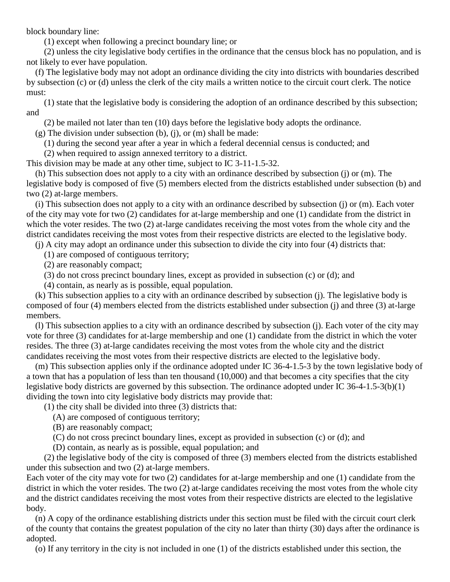block boundary line:

(1) except when following a precinct boundary line; or

 (2) unless the city legislative body certifies in the ordinance that the census block has no population, and is not likely to ever have population.

 (f) The legislative body may not adopt an ordinance dividing the city into districts with boundaries described by subsection (c) or (d) unless the clerk of the city mails a written notice to the circuit court clerk. The notice must:

 (1) state that the legislative body is considering the adoption of an ordinance described by this subsection; and

(2) be mailed not later than ten (10) days before the legislative body adopts the ordinance.

(g) The division under subsection (b), (j), or (m) shall be made:

(1) during the second year after a year in which a federal decennial census is conducted; and

(2) when required to assign annexed territory to a district.

This division may be made at any other time, subject to IC 3-11-1.5-32.

 (h) This subsection does not apply to a city with an ordinance described by subsection (j) or (m). The legislative body is composed of five (5) members elected from the districts established under subsection (b) and two (2) at-large members.

 (i) This subsection does not apply to a city with an ordinance described by subsection (j) or (m). Each voter of the city may vote for two (2) candidates for at-large membership and one (1) candidate from the district in which the voter resides. The two (2) at-large candidates receiving the most votes from the whole city and the district candidates receiving the most votes from their respective districts are elected to the legislative body.

(j) A city may adopt an ordinance under this subsection to divide the city into four (4) districts that:

(1) are composed of contiguous territory;

(2) are reasonably compact;

(3) do not cross precinct boundary lines, except as provided in subsection (c) or (d); and

(4) contain, as nearly as is possible, equal population.

 (k) This subsection applies to a city with an ordinance described by subsection (j). The legislative body is composed of four (4) members elected from the districts established under subsection (j) and three (3) at-large members.

 (l) This subsection applies to a city with an ordinance described by subsection (j). Each voter of the city may vote for three (3) candidates for at-large membership and one (1) candidate from the district in which the voter resides. The three (3) at-large candidates receiving the most votes from the whole city and the district candidates receiving the most votes from their respective districts are elected to the legislative body.

 (m) This subsection applies only if the ordinance adopted under IC 36-4-1.5-3 by the town legislative body of a town that has a population of less than ten thousand (10,000) and that becomes a city specifies that the city legislative body districts are governed by this subsection. The ordinance adopted under IC 36-4-1.5-3(b)(1) dividing the town into city legislative body districts may provide that:

(1) the city shall be divided into three (3) districts that:

(A) are composed of contiguous territory;

(B) are reasonably compact;

(C) do not cross precinct boundary lines, except as provided in subsection (c) or (d); and

(D) contain, as nearly as is possible, equal population; and

 (2) the legislative body of the city is composed of three (3) members elected from the districts established under this subsection and two (2) at-large members.

Each voter of the city may vote for two (2) candidates for at-large membership and one (1) candidate from the district in which the voter resides. The two (2) at-large candidates receiving the most votes from the whole city and the district candidates receiving the most votes from their respective districts are elected to the legislative body.

 (n) A copy of the ordinance establishing districts under this section must be filed with the circuit court clerk of the county that contains the greatest population of the city no later than thirty (30) days after the ordinance is adopted.

(o) If any territory in the city is not included in one (1) of the districts established under this section, the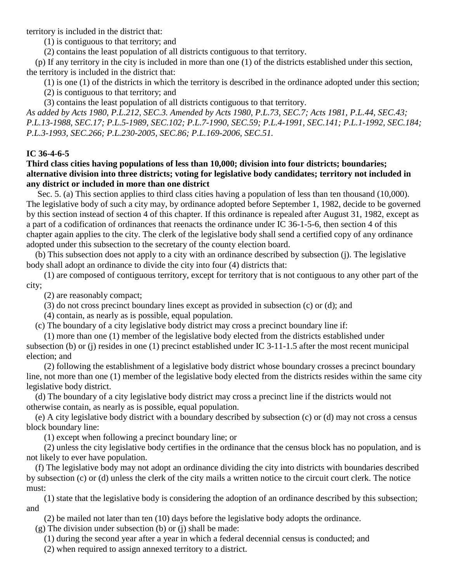territory is included in the district that:

(1) is contiguous to that territory; and

(2) contains the least population of all districts contiguous to that territory.

 (p) If any territory in the city is included in more than one (1) of the districts established under this section, the territory is included in the district that:

(1) is one (1) of the districts in which the territory is described in the ordinance adopted under this section;

(2) is contiguous to that territory; and

(3) contains the least population of all districts contiguous to that territory.

*As added by Acts 1980, P.L.212, SEC.3. Amended by Acts 1980, P.L.73, SEC.7; Acts 1981, P.L.44, SEC.43; P.L.13-1988, SEC.17; P.L.5-1989, SEC.102; P.L.7-1990, SEC.59; P.L.4-1991, SEC.141; P.L.1-1992, SEC.184; P.L.3-1993, SEC.266; P.L.230-2005, SEC.86; P.L.169-2006, SEC.51.*

## **IC 36-4-6-5**

**Third class cities having populations of less than 10,000; division into four districts; boundaries; alternative division into three districts; voting for legislative body candidates; territory not included in any district or included in more than one district**

Sec. 5. (a) This section applies to third class cities having a population of less than ten thousand (10,000). The legislative body of such a city may, by ordinance adopted before September 1, 1982, decide to be governed by this section instead of section 4 of this chapter. If this ordinance is repealed after August 31, 1982, except as a part of a codification of ordinances that reenacts the ordinance under IC 36-1-5-6, then section 4 of this chapter again applies to the city. The clerk of the legislative body shall send a certified copy of any ordinance adopted under this subsection to the secretary of the county election board.

 (b) This subsection does not apply to a city with an ordinance described by subsection (j). The legislative body shall adopt an ordinance to divide the city into four (4) districts that:

 (1) are composed of contiguous territory, except for territory that is not contiguous to any other part of the city;

(2) are reasonably compact;

(3) do not cross precinct boundary lines except as provided in subsection (c) or (d); and

(4) contain, as nearly as is possible, equal population.

(c) The boundary of a city legislative body district may cross a precinct boundary line if:

 (1) more than one (1) member of the legislative body elected from the districts established under subsection (b) or (j) resides in one (1) precinct established under IC 3-11-1.5 after the most recent municipal election; and

 (2) following the establishment of a legislative body district whose boundary crosses a precinct boundary line, not more than one (1) member of the legislative body elected from the districts resides within the same city legislative body district.

 (d) The boundary of a city legislative body district may cross a precinct line if the districts would not otherwise contain, as nearly as is possible, equal population.

 (e) A city legislative body district with a boundary described by subsection (c) or (d) may not cross a census block boundary line:

(1) except when following a precinct boundary line; or

 (2) unless the city legislative body certifies in the ordinance that the census block has no population, and is not likely to ever have population.

 (f) The legislative body may not adopt an ordinance dividing the city into districts with boundaries described by subsection (c) or (d) unless the clerk of the city mails a written notice to the circuit court clerk. The notice must:

 (1) state that the legislative body is considering the adoption of an ordinance described by this subsection; and

(2) be mailed not later than ten (10) days before the legislative body adopts the ordinance.

(g) The division under subsection (b) or (j) shall be made:

(1) during the second year after a year in which a federal decennial census is conducted; and

(2) when required to assign annexed territory to a district.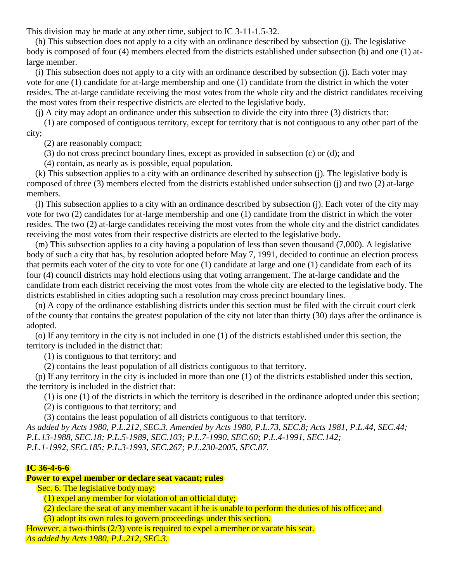This division may be made at any other time, subject to IC 3-11-1.5-32.

 (h) This subsection does not apply to a city with an ordinance described by subsection (j). The legislative body is composed of four (4) members elected from the districts established under subsection (b) and one (1) atlarge member.

 (i) This subsection does not apply to a city with an ordinance described by subsection (j). Each voter may vote for one (1) candidate for at-large membership and one (1) candidate from the district in which the voter resides. The at-large candidate receiving the most votes from the whole city and the district candidates receiving the most votes from their respective districts are elected to the legislative body.

(j) A city may adopt an ordinance under this subsection to divide the city into three (3) districts that:

 (1) are composed of contiguous territory, except for territory that is not contiguous to any other part of the city;

(2) are reasonably compact;

(3) do not cross precinct boundary lines, except as provided in subsection (c) or (d); and

(4) contain, as nearly as is possible, equal population.

 (k) This subsection applies to a city with an ordinance described by subsection (j). The legislative body is composed of three (3) members elected from the districts established under subsection (j) and two (2) at-large members.

 (l) This subsection applies to a city with an ordinance described by subsection (j). Each voter of the city may vote for two (2) candidates for at-large membership and one (1) candidate from the district in which the voter resides. The two (2) at-large candidates receiving the most votes from the whole city and the district candidates receiving the most votes from their respective districts are elected to the legislative body.

 (m) This subsection applies to a city having a population of less than seven thousand (7,000). A legislative body of such a city that has, by resolution adopted before May 7, 1991, decided to continue an election process that permits each voter of the city to vote for one (1) candidate at large and one (1) candidate from each of its four (4) council districts may hold elections using that voting arrangement. The at-large candidate and the candidate from each district receiving the most votes from the whole city are elected to the legislative body. The districts established in cities adopting such a resolution may cross precinct boundary lines.

 (n) A copy of the ordinance establishing districts under this section must be filed with the circuit court clerk of the county that contains the greatest population of the city not later than thirty (30) days after the ordinance is adopted.

 (o) If any territory in the city is not included in one (1) of the districts established under this section, the territory is included in the district that:

(1) is contiguous to that territory; and

(2) contains the least population of all districts contiguous to that territory.

 (p) If any territory in the city is included in more than one (1) of the districts established under this section, the territory is included in the district that:

(1) is one (1) of the districts in which the territory is described in the ordinance adopted under this section;

(2) is contiguous to that territory; and

(3) contains the least population of all districts contiguous to that territory.

*As added by Acts 1980, P.L.212, SEC.3. Amended by Acts 1980, P.L.73, SEC.8; Acts 1981, P.L.44, SEC.44; P.L.13-1988, SEC.18; P.L.5-1989, SEC.103; P.L.7-1990, SEC.60; P.L.4-1991, SEC.142; P.L.1-1992, SEC.185; P.L.3-1993, SEC.267; P.L.230-2005, SEC.87.*

### **IC 36-4-6-6**

# **Power to expel member or declare seat vacant; rules**

**Sec. 6. The legislative body may:** 

(1) expel any member for violation of an official duty;

(2) declare the seat of any member vacant if he is unable to perform the duties of his office; and

(3) adopt its own rules to govern proceedings under this section.

However, a two-thirds (2/3) vote is required to expel a member or vacate his seat. *As added by Acts 1980, P.L.212, SEC.3.*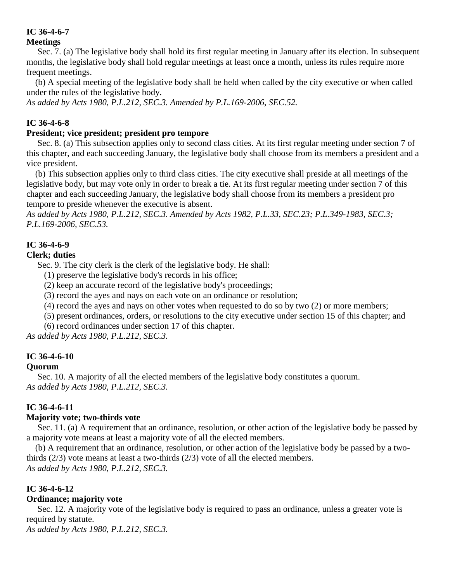### **IC 36-4-6-7 Meetings**

Sec. 7. (a) The legislative body shall hold its first regular meeting in January after its election. In subsequent months, the legislative body shall hold regular meetings at least once a month, unless its rules require more frequent meetings.

 (b) A special meeting of the legislative body shall be held when called by the city executive or when called under the rules of the legislative body.

*As added by Acts 1980, P.L.212, SEC.3. Amended by P.L.169-2006, SEC.52.*

# **IC 36-4-6-8**

# **President; vice president; president pro tempore**

Sec. 8. (a) This subsection applies only to second class cities. At its first regular meeting under section 7 of this chapter, and each succeeding January, the legislative body shall choose from its members a president and a vice president.

 (b) This subsection applies only to third class cities. The city executive shall preside at all meetings of the legislative body, but may vote only in order to break a tie. At its first regular meeting under section 7 of this chapter and each succeeding January, the legislative body shall choose from its members a president pro tempore to preside whenever the executive is absent.

*As added by Acts 1980, P.L.212, SEC.3. Amended by Acts 1982, P.L.33, SEC.23; P.L.349-1983, SEC.3; P.L.169-2006, SEC.53.*

# **IC 36-4-6-9**

## **Clerk; duties**

Sec. 9. The city clerk is the clerk of the legislative body. He shall:

- (1) preserve the legislative body's records in his office;
- (2) keep an accurate record of the legislative body's proceedings;
- (3) record the ayes and nays on each vote on an ordinance or resolution;
- (4) record the ayes and nays on other votes when requested to do so by two (2) or more members;
- (5) present ordinances, orders, or resolutions to the city executive under section 15 of this chapter; and
- (6) record ordinances under section 17 of this chapter.

*As added by Acts 1980, P.L.212, SEC.3.*

# **IC 36-4-6-10**

## **Quorum**

Sec. 10. A majority of all the elected members of the legislative body constitutes a quorum. *As added by Acts 1980, P.L.212, SEC.3.*

## **IC 36-4-6-11**

## **Majority vote; two-thirds vote**

Sec. 11. (a) A requirement that an ordinance, resolution, or other action of the legislative body be passed by a majority vote means at least a majority vote of all the elected members.

 (b) A requirement that an ordinance, resolution, or other action of the legislative body be passed by a twothirds (2/3) vote means at least a two-thirds (2/3) vote of all the elected members. *As added by Acts 1980, P.L.212, SEC.3.*

## **IC 36-4-6-12**

## **Ordinance; majority vote**

Sec. 12. A majority vote of the legislative body is required to pass an ordinance, unless a greater vote is required by statute.

*As added by Acts 1980, P.L.212, SEC.3.*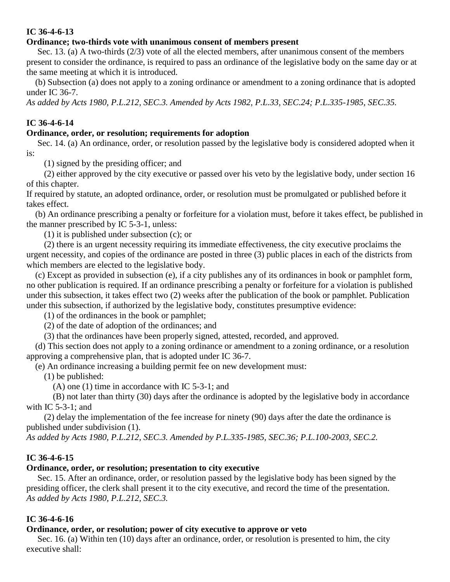### **IC 36-4-6-13**

### **Ordinance; two-thirds vote with unanimous consent of members present**

Sec. 13. (a) A two-thirds (2/3) vote of all the elected members, after unanimous consent of the members present to consider the ordinance, is required to pass an ordinance of the legislative body on the same day or at the same meeting at which it is introduced.

 (b) Subsection (a) does not apply to a zoning ordinance or amendment to a zoning ordinance that is adopted under IC 36-7.

*As added by Acts 1980, P.L.212, SEC.3. Amended by Acts 1982, P.L.33, SEC.24; P.L.335-1985, SEC.35.*

## **IC 36-4-6-14**

### **Ordinance, order, or resolution; requirements for adoption**

Sec. 14. (a) An ordinance, order, or resolution passed by the legislative body is considered adopted when it is:

(1) signed by the presiding officer; and

 (2) either approved by the city executive or passed over his veto by the legislative body, under section 16 of this chapter.

If required by statute, an adopted ordinance, order, or resolution must be promulgated or published before it takes effect.

 (b) An ordinance prescribing a penalty or forfeiture for a violation must, before it takes effect, be published in the manner prescribed by IC 5-3-1, unless:

(1) it is published under subsection (c); or

 (2) there is an urgent necessity requiring its immediate effectiveness, the city executive proclaims the urgent necessity, and copies of the ordinance are posted in three (3) public places in each of the districts from which members are elected to the legislative body.

 (c) Except as provided in subsection (e), if a city publishes any of its ordinances in book or pamphlet form, no other publication is required. If an ordinance prescribing a penalty or forfeiture for a violation is published under this subsection, it takes effect two (2) weeks after the publication of the book or pamphlet. Publication under this subsection, if authorized by the legislative body, constitutes presumptive evidence:

(1) of the ordinances in the book or pamphlet;

(2) of the date of adoption of the ordinances; and

(3) that the ordinances have been properly signed, attested, recorded, and approved.

 (d) This section does not apply to a zoning ordinance or amendment to a zoning ordinance, or a resolution approving a comprehensive plan, that is adopted under IC 36-7.

(e) An ordinance increasing a building permit fee on new development must:

(1) be published:

(A) one (1) time in accordance with IC 5-3-1; and

 (B) not later than thirty (30) days after the ordinance is adopted by the legislative body in accordance with IC  $5-3-1$ ; and

 (2) delay the implementation of the fee increase for ninety (90) days after the date the ordinance is published under subdivision (1).

*As added by Acts 1980, P.L.212, SEC.3. Amended by P.L.335-1985, SEC.36; P.L.100-2003, SEC.2.*

### **IC 36-4-6-15**

### **Ordinance, order, or resolution; presentation to city executive**

Sec. 15. After an ordinance, order, or resolution passed by the legislative body has been signed by the presiding officer, the clerk shall present it to the city executive, and record the time of the presentation. *As added by Acts 1980, P.L.212, SEC.3.*

### **IC 36-4-6-16**

### **Ordinance, order, or resolution; power of city executive to approve or veto**

Sec. 16. (a) Within ten (10) days after an ordinance, order, or resolution is presented to him, the city executive shall: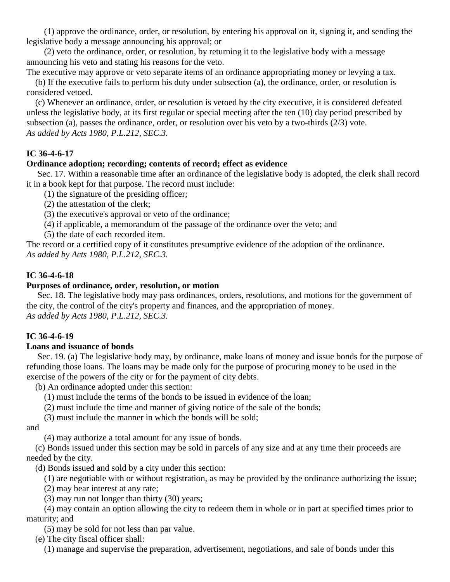(1) approve the ordinance, order, or resolution, by entering his approval on it, signing it, and sending the legislative body a message announcing his approval; or

 (2) veto the ordinance, order, or resolution, by returning it to the legislative body with a message announcing his veto and stating his reasons for the veto.

The executive may approve or veto separate items of an ordinance appropriating money or levying a tax. (b) If the executive fails to perform his duty under subsection (a), the ordinance, order, or resolution is considered vetoed.

 (c) Whenever an ordinance, order, or resolution is vetoed by the city executive, it is considered defeated unless the legislative body, at its first regular or special meeting after the ten (10) day period prescribed by subsection (a), passes the ordinance, order, or resolution over his veto by a two-thirds (2/3) vote. *As added by Acts 1980, P.L.212, SEC.3.*

# **IC 36-4-6-17**

## **Ordinance adoption; recording; contents of record; effect as evidence**

Sec. 17. Within a reasonable time after an ordinance of the legislative body is adopted, the clerk shall record it in a book kept for that purpose. The record must include:

(1) the signature of the presiding officer;

(2) the attestation of the clerk;

(3) the executive's approval or veto of the ordinance;

(4) if applicable, a memorandum of the passage of the ordinance over the veto; and

(5) the date of each recorded item.

The record or a certified copy of it constitutes presumptive evidence of the adoption of the ordinance. *As added by Acts 1980, P.L.212, SEC.3.*

## **IC 36-4-6-18**

## **Purposes of ordinance, order, resolution, or motion**

Sec. 18. The legislative body may pass ordinances, orders, resolutions, and motions for the government of the city, the control of the city's property and finances, and the appropriation of money. *As added by Acts 1980, P.L.212, SEC.3.*

## **IC 36-4-6-19**

### **Loans and issuance of bonds**

Sec. 19. (a) The legislative body may, by ordinance, make loans of money and issue bonds for the purpose of refunding those loans. The loans may be made only for the purpose of procuring money to be used in the exercise of the powers of the city or for the payment of city debts.

(b) An ordinance adopted under this section:

- (1) must include the terms of the bonds to be issued in evidence of the loan;
- (2) must include the time and manner of giving notice of the sale of the bonds;

(3) must include the manner in which the bonds will be sold;

and

(4) may authorize a total amount for any issue of bonds.

 (c) Bonds issued under this section may be sold in parcels of any size and at any time their proceeds are needed by the city.

(d) Bonds issued and sold by a city under this section:

(1) are negotiable with or without registration, as may be provided by the ordinance authorizing the issue;

(2) may bear interest at any rate;

(3) may run not longer than thirty (30) years;

 (4) may contain an option allowing the city to redeem them in whole or in part at specified times prior to maturity; and

(5) may be sold for not less than par value.

(e) The city fiscal officer shall:

(1) manage and supervise the preparation, advertisement, negotiations, and sale of bonds under this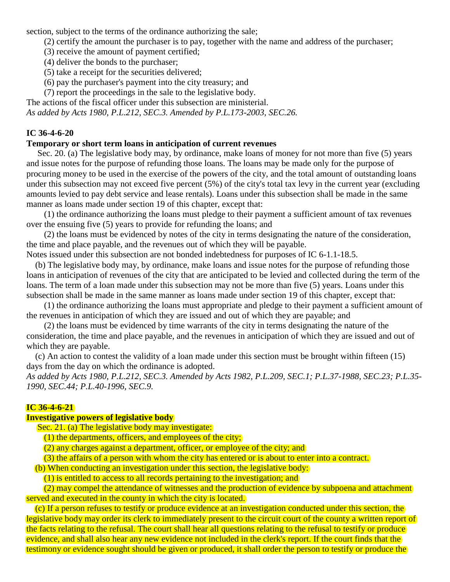section, subject to the terms of the ordinance authorizing the sale;

- (2) certify the amount the purchaser is to pay, together with the name and address of the purchaser;
- (3) receive the amount of payment certified;
- (4) deliver the bonds to the purchaser;
- (5) take a receipt for the securities delivered;
- (6) pay the purchaser's payment into the city treasury; and
- (7) report the proceedings in the sale to the legislative body.

The actions of the fiscal officer under this subsection are ministerial. *As added by Acts 1980, P.L.212, SEC.3. Amended by P.L.173-2003, SEC.26.*

# **IC 36-4-6-20**

## **Temporary or short term loans in anticipation of current revenues**

Sec. 20. (a) The legislative body may, by ordinance, make loans of money for not more than five (5) years and issue notes for the purpose of refunding those loans. The loans may be made only for the purpose of procuring money to be used in the exercise of the powers of the city, and the total amount of outstanding loans under this subsection may not exceed five percent (5%) of the city's total tax levy in the current year (excluding amounts levied to pay debt service and lease rentals). Loans under this subsection shall be made in the same manner as loans made under section 19 of this chapter, except that:

 (1) the ordinance authorizing the loans must pledge to their payment a sufficient amount of tax revenues over the ensuing five (5) years to provide for refunding the loans; and

 (2) the loans must be evidenced by notes of the city in terms designating the nature of the consideration, the time and place payable, and the revenues out of which they will be payable.

Notes issued under this subsection are not bonded indebtedness for purposes of IC 6-1.1-18.5.

 (b) The legislative body may, by ordinance, make loans and issue notes for the purpose of refunding those loans in anticipation of revenues of the city that are anticipated to be levied and collected during the term of the loans. The term of a loan made under this subsection may not be more than five (5) years. Loans under this subsection shall be made in the same manner as loans made under section 19 of this chapter, except that:

 (1) the ordinance authorizing the loans must appropriate and pledge to their payment a sufficient amount of the revenues in anticipation of which they are issued and out of which they are payable; and

 (2) the loans must be evidenced by time warrants of the city in terms designating the nature of the consideration, the time and place payable, and the revenues in anticipation of which they are issued and out of which they are payable.

 (c) An action to contest the validity of a loan made under this section must be brought within fifteen (15) days from the day on which the ordinance is adopted.

*As added by Acts 1980, P.L.212, SEC.3. Amended by Acts 1982, P.L.209, SEC.1; P.L.37-1988, SEC.23; P.L.35- 1990, SEC.44; P.L.40-1996, SEC.9.*

### **IC 36-4-6-21**

### **Investigative powers of legislative body**

Sec. 21. (a) The legislative body may investigate:

(1) the departments, officers, and employees of the city;

(2) any charges against a department, officer, or employee of the city; and

(3) the affairs of a person with whom the city has entered or is about to enter into a contract.

(b) When conducting an investigation under this section, the legislative body:

(1) is entitled to access to all records pertaining to the investigation; and

 (2) may compel the attendance of witnesses and the production of evidence by subpoena and attachment served and executed in the county in which the city is located.

 (c) If a person refuses to testify or produce evidence at an investigation conducted under this section, the legislative body may order its clerk to immediately present to the circuit court of the county a written report of the facts relating to the refusal. The court shall hear all questions relating to the refusal to testify or produce evidence, and shall also hear any new evidence not included in the clerk's report. If the court finds that the testimony or evidence sought should be given or produced, it shall order the person to testify or produce the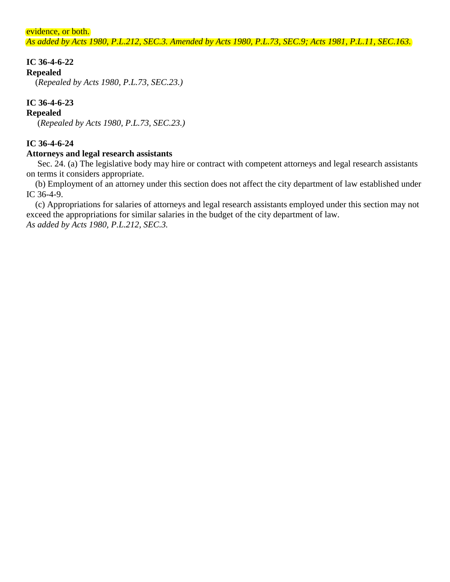evidence, or both.

*As added by Acts 1980, P.L.212, SEC.3. Amended by Acts 1980, P.L.73, SEC.9; Acts 1981, P.L.11, SEC.163.*

## **IC 36-4-6-22**

### **Repealed**

(*Repealed by Acts 1980, P.L.73, SEC.23.)*

## **IC 36-4-6-23**

### **Repealed**

(*Repealed by Acts 1980, P.L.73, SEC.23.)*

## **IC 36-4-6-24**

### **Attorneys and legal research assistants**

Sec. 24. (a) The legislative body may hire or contract with competent attorneys and legal research assistants on terms it considers appropriate.

 (b) Employment of an attorney under this section does not affect the city department of law established under IC 36-4-9.

 (c) Appropriations for salaries of attorneys and legal research assistants employed under this section may not exceed the appropriations for similar salaries in the budget of the city department of law. *As added by Acts 1980, P.L.212, SEC.3.*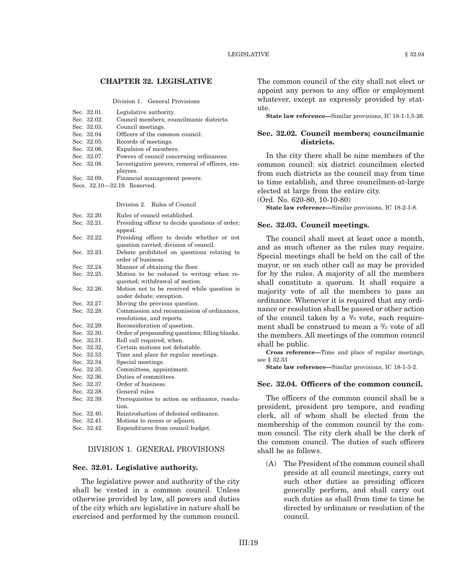#### **CHAPTER 32. LEGISLATIVE**

Division 1. General Provisions

| Sec. 32.01. | Legislative authority.                         |
|-------------|------------------------------------------------|
| Sec. 32.02. | Council members; councilmanic districts.       |
| Sec. 32.03. | Council meetings.                              |
| Sec. 32.04. | Officers of the common council.                |
| Sec. 32.05. | Records of meetings.                           |
| Sec. 32.06. | Expulsion of members.                          |
| Sec. 32.07. | Powers of council concerning ordinances.       |
| Sec. 32.08. | Investigative powers; removal of officers, em- |
|             | ployees.                                       |
| Sec. 32.09. | Financial management powers.                   |

Secs. 32.10—32.19. Reserved.

#### Division 2. Rules of Council

| Sec. 32.20. | Rules of council established.                   |
|-------------|-------------------------------------------------|
| Sec. 32.21. | Presiding officer to decide questions of order; |
|             | appeal.                                         |
| Sec. 32.22. | Presiding officer to decide whether or not      |
|             | question carried; division of council.          |
| Sec. 32.23. | Debate prohibited on questions relating to      |
|             | order of business.                              |
| Sec. 32.24. | Manner of obtaining the floor.                  |
| Sec. 32.25. | Motion to be reduced to writing when re-        |
|             | quested; withdrawal of motion.                  |
| Sec. 32.26. | Motion not to be received while question is     |
|             | under debate; exception.                        |
| Sec. 32.27. | Moving the previous question.                   |
| Sec. 32.28. | Commission and recommission of ordinances,      |
|             | resolutions, and reports.                       |
| Sec. 32.29. | Reconsideration of question.                    |
| Sec. 32.30. | Order of propounding questions; filling blanks. |
| Sec. 32.31. | Roll call required, when.                       |
| Sec. 32.32. | Certain motions not debatable.                  |
|             |                                                 |
| Sec. 32.33. | Time and place for regular meetings.            |
| Sec. 32.34. | Special meetings.                               |
| Sec. 32.35. | Committees, appointment.                        |
| Sec. 32.36. | Duties of committees.                           |
| Sec. 32.37. | Order of business.                              |
| Sec. 32.38. | General rules.                                  |
| Sec. 32.39. | Prerequisites to action on ordinance, resolu-   |
|             | tion.                                           |
| Sec. 32.40. | Reintroduction of defeated ordinance.           |
| Sec. 32.41. | Motions to recess or adjourn.                   |

#### DIVISION 1. GENERAL PROVISIONS

#### **Sec. 32.01. Legislative authority.**

The legislative power and authority of the city shall be vested in a common council. Unless otherwise provided by law, all powers and duties of the city which are legislative in nature shall be exercised and performed by the common council. The common council of the city shall not elect or appoint any person to any office or employment whatever, except as expressly provided by statute.

**State law reference—**Similar provisions, IC 18-1-1.5-26.

#### **Sec. 32.02. Council members; councilmanic districts.**

In the city there shall be nine members of the common council: six district councilmen elected from such districts as the council may from time to time establish, and three councilmen-at-large elected at large from the entire city.

(Ord. No. 620-80, 10-10-80)

**State law reference—**Similar provisions, IC 18-2-1-8.

#### **Sec. 32.03. Council meetings.**

The council shall meet at least once a month, and as much oftener as the rules may require. Special meetings shall be held on the call of the mayor, or on such other call as may be provided for by the rules. A majority of all the members shall constitute a quorum. It shall require a majority vote of all the members to pass an ordinance. Whenever it is required that any ordinance or resolution shall be passed or other action of the council taken by a  $\frac{2}{3}$  vote, such requirement shall be construed to mean a  $\frac{2}{3}$  vote of all the members. All meetings of the common council shall be public.

**Cross reference—**Time and place of regular meetings, see § 32.33

**State law reference—**Similar provisions, IC 18-1-3-2.

### **Sec. 32.04. Officers of the common council.**

The officers of the common council shall be a president, president pro tempore, and reading clerk, all of whom shall be elected from the membership of the common council by the common council. The city clerk shall be the clerk of the common council. The duties of such officers shall be as follows.

(A) The President of the common council shall preside at all council meetings, carry out such other duties as presiding officers generally perform, and shall carry out such duties as shall from time to time be directed by ordinance or resolution of the council.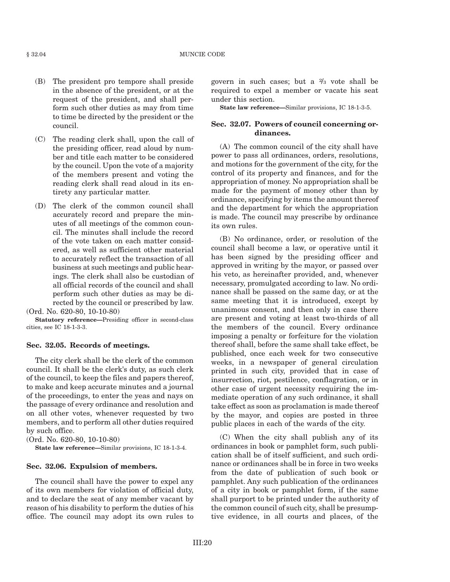#### § 32.04 MUNCIE CODE

- (B) The president pro tempore shall preside in the absence of the president, or at the request of the president, and shall perform such other duties as may from time to time be directed by the president or the council.
- (C) The reading clerk shall, upon the call of the presiding officer, read aloud by number and title each matter to be considered by the council. Upon the vote of a majority of the members present and voting the reading clerk shall read aloud in its entirety any particular matter.
- (D) The clerk of the common council shall accurately record and prepare the minutes of all meetings of the common council. The minutes shall include the record of the vote taken on each matter considered, as well as sufficient other material to accurately reflect the transaction of all business at such meetings and public hearings. The clerk shall also be custodian of all official records of the council and shall perform such other duties as may be directed by the council or prescribed by law.

(Ord. No. 620-80, 10-10-80)

**Statutory reference—**Presiding officer in second-class cities, see IC 18-1-3-3.

#### **Sec. 32.05. Records of meetings.**

The city clerk shall be the clerk of the common council. It shall be the clerk's duty, as such clerk of the council, to keep the files and papers thereof, to make and keep accurate minutes and a journal of the proceedings, to enter the yeas and nays on the passage of every ordinance and resolution and on all other votes, whenever requested by two members, and to perform all other duties required by such office.

(Ord. No. 620-80, 10-10-80)

**State law reference—**Similar provisions, IC 18-1-3-4.

#### **Sec. 32.06. Expulsion of members.**

The council shall have the power to expel any of its own members for violation of official duty, and to declare the seat of any member vacant by reason of his disability to perform the duties of his office. The council may adopt its own rules to

govern in such cases; but a <sup>2</sup> /3 vote shall be required to expel a member or vacate his seat under this section.

**State law reference—**Similar provisions, IC 18-1-3-5.

#### **Sec. 32.07. Powers of council concerning ordinances.**

(A) The common council of the city shall have power to pass all ordinances, orders, resolutions, and motions for the government of the city, for the control of its property and finances, and for the appropriation of money. No appropriation shall be made for the payment of money other than by ordinance, specifying by items the amount thereof and the department for which the appropriation is made. The council may prescribe by ordinance its own rules.

(B) No ordinance, order, or resolution of the council shall become a law, or operative until it has been signed by the presiding officer and approved in writing by the mayor, or passed over his veto, as hereinafter provided, and, whenever necessary, promulgated according to law. No ordinance shall be passed on the same day, or at the same meeting that it is introduced, except by unanimous consent, and then only in case there are present and voting at least two-thirds of all the members of the council. Every ordinance imposing a penalty or forfeiture for the violation thereof shall, before the same shall take effect, be published, once each week for two consecutive weeks, in a newspaper of general circulation printed in such city, provided that in case of insurrection, riot, pestilence, conflagration, or in other case of urgent necessity requiring the immediate operation of any such ordinance, it shall take effect as soon as proclamation is made thereof by the mayor, and copies are posted in three public places in each of the wards of the city.

(C) When the city shall publish any of its ordinances in book or pamphlet form, such publication shall be of itself sufficient, and such ordinance or ordinances shall be in force in two weeks from the date of publication of such book or pamphlet. Any such publication of the ordinances of a city in book or pamphlet form, if the same shall purport to be printed under the authority of the common council of such city, shall be presumptive evidence, in all courts and places, of the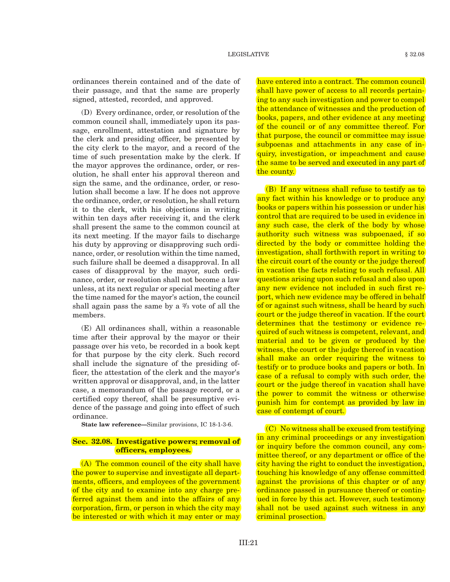ordinances therein contained and of the date of their passage, and that the same are properly signed, attested, recorded, and approved.

(D) Every ordinance, order, or resolution of the common council shall, immediately upon its passage, enrollment, attestation and signature by the clerk and presiding officer, be presented by the city clerk to the mayor, and a record of the time of such presentation make by the clerk. If the mayor approves the ordinance, order, or resolution, he shall enter his approval thereon and sign the same, and the ordinance, order, or resolution shall become a law. If he does not approve the ordinance, order, or resolution, he shall return it to the clerk, with his objections in writing within ten days after receiving it, and the clerk shall present the same to the common council at its next meeting. If the mayor fails to discharge his duty by approving or disapproving such ordinance, order, or resolution within the time named, such failure shall be deemed a disapproval. In all cases of disapproval by the mayor, such ordinance, order, or resolution shall not become a law unless, at its next regular or special meeting after the time named for the mayor's action, the council shall again pass the same by a  $\frac{2}{3}$  vote of all the members.

(E) All ordinances shall, within a reasonable time after their approval by the mayor or their passage over his veto, be recorded in a book kept for that purpose by the city clerk. Such record shall include the signature of the presiding officer, the attestation of the clerk and the mayor's written approval or disapproval, and, in the latter case, a memorandum of the passage record, or a certified copy thereof, shall be presumptive evidence of the passage and going into effect of such ordinance.

**State law reference—**Similar provisions, IC 18-1-3-6.

### **Sec. 32.08. Investigative powers; removal of officers, employees.**

(A) The common council of the city shall have the power to supervise and investigate all departments, officers, and employees of the government of the city and to examine into any charge preferred against them and into the affairs of any corporation, firm, or person in which the city may be interested or with which it may enter or may have entered into a contract. The common council shall have power of access to all records pertaining to any such investigation and power to compel the attendance of witnesses and the production of books, papers, and other evidence at any meeting of the council or of any committee thereof. For that purpose, the council or committee may issue subpoenas and attachments in any case of inquiry, investigation, or impeachment and cause the same to be served and executed in any part of the county.

(B) If any witness shall refuse to testify as to any fact within his knowledge or to produce any books or papers within his possession or under his control that are required to be used in evidence in any such case, the clerk of the body by whose authority such witness was subpoenaed, if so directed by the body or committee holding the investigation, shall forthwith report in writing to the circuit court of the county or the judge thereof in vacation the facts relating to such refusal. All questions arising upon such refusal and also upon any new evidence not included in such first report, which new evidence may be offered in behalf of or against such witness, shall be heard by such court or the judge thereof in vacation. If the court determines that the testimony or evidence required of such witness is competent, relevant, and material and to be given or produced by the witness, the court or the judge thereof in vacation shall make an order requiring the witness to testify or to produce books and papers or both. In case of a refusal to comply with such order, the court or the judge thereof in vacation shall have the power to commit the witness or otherwise punish him for contempt as provided by law in case of contempt of court.

(C) No witness shall be excused from testifying in any criminal proceedings or any investigation or inquiry before the common council, any committee thereof, or any department or office of the city having the right to conduct the investigation, touching his knowledge of any offense committed against the provisions of this chapter or of any ordinance passed in pursuance thereof or continued in force by this act. However, such testimony shall not be used against such witness in any criminal prosection.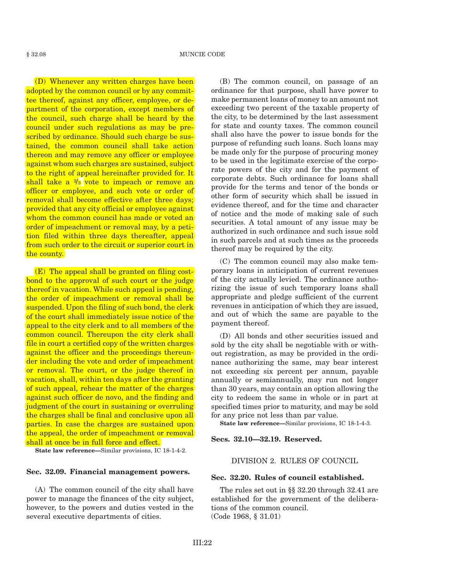#### § 32.08 MUNCIE CODE

(D) Whenever any written charges have been adopted by the common council or by any committee thereof, against any officer, employee, or department of the corporation, except members of the council, such charge shall be heard by the council under such regulations as may be prescribed by ordinance. Should such charge be sustained, the common council shall take action thereon and may remove any officer or employee against whom such charges are sustained, subject to the right of appeal hereinafter provided for. It  $\text{shall take}$  a  $\frac{2}{3}$  vote to impeach or remove an officer or employee, and such vote or order of removal shall become effective after three days; provided that any city official or employee against whom the common council has made or voted an order of impeachment or removal may, by a petition filed within three days thereafter, appeal from such order to the circuit or superior court in the county.

(E) The appeal shall be granted on filing costbond to the approval of such court or the judge thereof in vacation. While such appeal is pending, the order of impeachment or removal shall be suspended. Upon the filing of such bond, the clerk of the court shall immediately issue notice of the appeal to the city clerk and to all members of the common council. Thereupon the city clerk shall file in court a certified copy of the written charges against the officer and the proceedings thereunder including the vote and order of impeachment or removal. The court, or the judge thereof in vacation, shall, within ten days after the granting of such appeal, rehear the matter of the charges against such officer de novo, and the finding and judgment of the court in sustaining or overruling the charges shall be final and conclusive upon all parties. In case the charges are sustained upon the appeal, the order of impeachment or removal shall at once be in full force and effect.

**State law reference—**Similar provisions, IC 18-1-4-2.

### **Sec. 32.09. Financial management powers.**

(A) The common council of the city shall have power to manage the finances of the city subject, however, to the powers and duties vested in the several executive departments of cities.

(B) The common council, on passage of an ordinance for that purpose, shall have power to make permanent loans of money to an amount not exceeding two percent of the taxable property of the city, to be determined by the last assessment for state and county taxes. The common council shall also have the power to issue bonds for the purpose of refunding such loans. Such loans may be made only for the purpose of procuring money to be used in the legitimate exercise of the corporate powers of the city and for the payment of corporate debts. Such ordinance for loans shall provide for the terms and tenor of the bonds or other form of security which shall be issued in evidence thereof, and for the time and character of notice and the mode of making sale of such securities. A total amount of any issue may be authorized in such ordinance and such issue sold in such parcels and at such times as the proceeds thereof may be required by the city.

(C) The common council may also make temporary loans in anticipation of current revenues of the city actually levied. The ordinance authorizing the issue of such temporary loans shall appropriate and pledge sufficient of the current revenues in anticipation of which they are issued, and out of which the same are payable to the payment thereof.

(D) All bonds and other securities issued and sold by the city shall be negotiable with or without registration, as may be provided in the ordinance authorizing the same, may bear interest not exceeding six percent per annum, payable annually or semiannually, may run not longer than 30 years, may contain an option allowing the city to redeem the same in whole or in part at specified times prior to maturity, and may be sold for any price not less than par value.

**State law reference—**Similar provisions, IC 18-1-4-3.

#### **Secs. 32.10—32.19. Reserved.**

### DIVISION 2. RULES OF COUNCIL

#### **Sec. 32.20. Rules of council established.**

The rules set out in §§ 32.20 through 32.41 are established for the government of the deliberations of the common council. (Code 1968, § 31.01)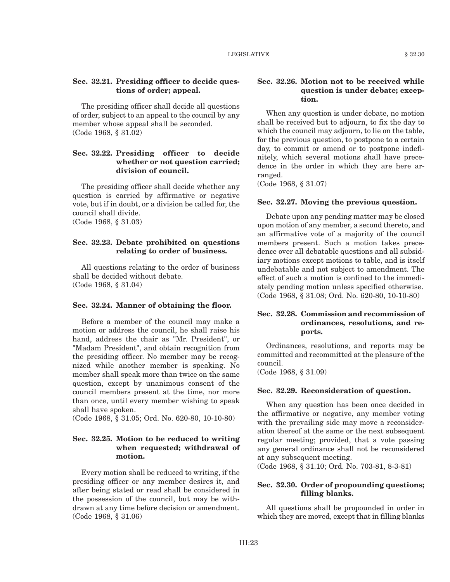### **Sec. 32.21. Presiding officer to decide questions of order; appeal.**

The presiding officer shall decide all questions of order, subject to an appeal to the council by any member whose appeal shall be seconded. (Code 1968, § 31.02)

### **Sec. 32.22. Presiding officer to decide whether or not question carried; division of council.**

The presiding officer shall decide whether any question is carried by affirmative or negative vote, but if in doubt, or a division be called for, the council shall divide.

(Code 1968, § 31.03)

### **Sec. 32.23. Debate prohibited on questions relating to order of business.**

All questions relating to the order of business shall be decided without debate. (Code 1968, § 31.04)

#### **Sec. 32.24. Manner of obtaining the floor.**

Before a member of the council may make a motion or address the council, he shall raise his hand, address the chair as "Mr. President", or "Madam President", and obtain recognition from the presiding officer. No member may be recognized while another member is speaking. No member shall speak more than twice on the same question, except by unanimous consent of the council members present at the time, nor more than once, until every member wishing to speak shall have spoken.

(Code 1968, § 31.05; Ord. No. 620-80, 10-10-80)

### **Sec. 32.25. Motion to be reduced to writing when requested; withdrawal of motion.**

Every motion shall be reduced to writing, if the presiding officer or any member desires it, and after being stated or read shall be considered in the possession of the council, but may be withdrawn at any time before decision or amendment. (Code 1968, § 31.06)

### **Sec. 32.26. Motion not to be received while question is under debate; exception.**

When any question is under debate, no motion shall be received but to adjourn, to fix the day to which the council may adjourn, to lie on the table, for the previous question, to postpone to a certain day, to commit or amend or to postpone indefinitely, which several motions shall have precedence in the order in which they are here arranged.

(Code 1968, § 31.07)

#### **Sec. 32.27. Moving the previous question.**

Debate upon any pending matter may be closed upon motion of any member, a second thereto, and an affirmative vote of a majority of the council members present. Such a motion takes precedence over all debatable questions and all subsidiary motions except motions to table, and is itself undebatable and not subject to amendment. The effect of such a motion is confined to the immediately pending motion unless specified otherwise. (Code 1968, § 31.08; Ord. No. 620-80, 10-10-80)

### **Sec. 32.28. Commission and recommission of ordinances, resolutions, and reports.**

Ordinances, resolutions, and reports may be committed and recommitted at the pleasure of the council.

(Code 1968, § 31.09)

#### **Sec. 32.29. Reconsideration of question.**

When any question has been once decided in the affirmative or negative, any member voting with the prevailing side may move a reconsideration thereof at the same or the next subsequent regular meeting; provided, that a vote passing any general ordinance shall not be reconsidered at any subsequent meeting.

(Code 1968, § 31.10; Ord. No. 703-81, 8-3-81)

#### **Sec. 32.30. Order of propounding questions; filling blanks.**

All questions shall be propounded in order in which they are moved, except that in filling blanks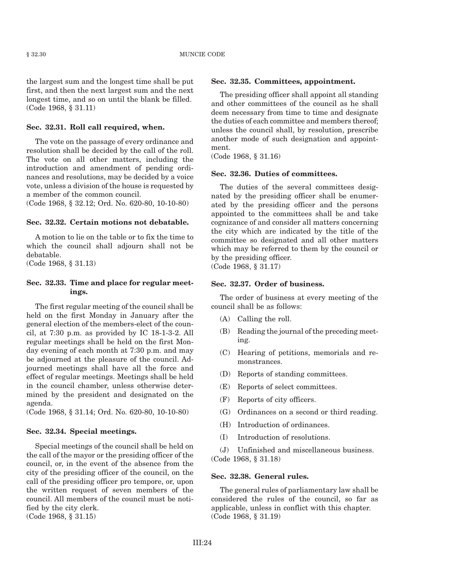the largest sum and the longest time shall be put first, and then the next largest sum and the next longest time, and so on until the blank be filled. (Code 1968, § 31.11)

#### **Sec. 32.31. Roll call required, when.**

The vote on the passage of every ordinance and resolution shall be decided by the call of the roll. The vote on all other matters, including the introduction and amendment of pending ordinances and resolutions, may be decided by a voice vote, unless a division of the house is requested by a member of the common council.

(Code 1968, § 32.12; Ord. No. 620-80, 10-10-80)

#### **Sec. 32.32. Certain motions not debatable.**

A motion to lie on the table or to fix the time to which the council shall adjourn shall not be debatable.

(Code 1968, § 31.13)

#### **Sec. 32.33. Time and place for regular meetings.**

The first regular meeting of the council shall be held on the first Monday in January after the general election of the members-elect of the council, at 7:30 p.m. as provided by IC 18-1-3-2. All regular meetings shall be held on the first Monday evening of each month at 7:30 p.m. and may be adjourned at the pleasure of the council. Adjourned meetings shall have all the force and effect of regular meetings. Meetings shall be held in the council chamber, unless otherwise determined by the president and designated on the agenda.

(Code 1968, § 31.14; Ord. No. 620-80, 10-10-80)

#### **Sec. 32.34. Special meetings.**

Special meetings of the council shall be held on the call of the mayor or the presiding officer of the council, or, in the event of the absence from the city of the presiding officer of the council, on the call of the presiding officer pro tempore, or, upon the written request of seven members of the council. All members of the council must be notified by the city clerk. (Code 1968, § 31.15)

#### **Sec. 32.35. Committees, appointment.**

The presiding officer shall appoint all standing and other committees of the council as he shall deem necessary from time to time and designate the duties of each committee and members thereof; unless the council shall, by resolution, prescribe another mode of such designation and appointment.

(Code 1968, § 31.16)

#### **Sec. 32.36. Duties of committees.**

The duties of the several committees designated by the presiding officer shall be enumerated by the presiding officer and the persons appointed to the committees shall be and take cognizance of and consider all matters concerning the city which are indicated by the title of the committee so designated and all other matters which may be referred to them by the council or by the presiding officer. (Code 1968, § 31.17)

#### **Sec. 32.37. Order of business.**

The order of business at every meeting of the council shall be as follows:

- (A) Calling the roll.
- (B) Reading the journal of the preceding meeting.
- (C) Hearing of petitions, memorials and remonstrances.
- (D) Reports of standing committees.
- (E) Reports of select committees.
- (F) Reports of city officers.
- (G) Ordinances on a second or third reading.
- (H) Introduction of ordinances.
- (I) Introduction of resolutions.

(J) Unfinished and miscellaneous business. (Code 1968, § 31.18)

#### **Sec. 32.38. General rules.**

The general rules of parliamentary law shall be considered the rules of the council, so far as applicable, unless in conflict with this chapter. (Code 1968, § 31.19)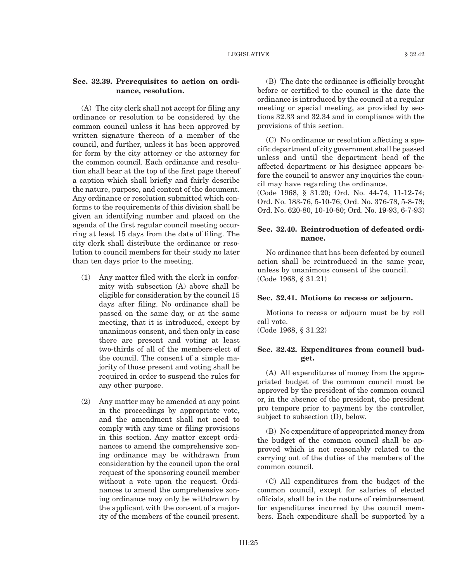### **Sec. 32.39. Prerequisites to action on ordinance, resolution.**

(A) The city clerk shall not accept for filing any ordinance or resolution to be considered by the common council unless it has been approved by written signature thereon of a member of the council, and further, unless it has been approved for form by the city attorney or the attorney for the common council. Each ordinance and resolution shall bear at the top of the first page thereof a caption which shall briefly and fairly describe the nature, purpose, and content of the document. Any ordinance or resolution submitted which conforms to the requirements of this division shall be given an identifying number and placed on the agenda of the first regular council meeting occurring at least 15 days from the date of filing. The city clerk shall distribute the ordinance or resolution to council members for their study no later than ten days prior to the meeting.

- (1) Any matter filed with the clerk in conformity with subsection (A) above shall be eligible for consideration by the council 15 days after filing. No ordinance shall be passed on the same day, or at the same meeting, that it is introduced, except by unanimous consent, and then only in case there are present and voting at least two-thirds of all of the members-elect of the council. The consent of a simple majority of those present and voting shall be required in order to suspend the rules for any other purpose.
- (2) Any matter may be amended at any point in the proceedings by appropriate vote, and the amendment shall not need to comply with any time or filing provisions in this section. Any matter except ordinances to amend the comprehensive zoning ordinance may be withdrawn from consideration by the council upon the oral request of the sponsoring council member without a vote upon the request. Ordinances to amend the comprehensive zoning ordinance may only be withdrawn by the applicant with the consent of a majority of the members of the council present.

(B) The date the ordinance is officially brought before or certified to the council is the date the ordinance is introduced by the council at a regular meeting or special meeting, as provided by sections 32.33 and 32.34 and in compliance with the provisions of this section.

(C) No ordinance or resolution affecting a specific department of city government shall be passed unless and until the department head of the affected department or his designee appears before the council to answer any inquiries the council may have regarding the ordinance.

(Code 1968, § 31.20; Ord. No. 44-74, 11-12-74; Ord. No. 183-76, 5-10-76; Ord. No. 376-78, 5-8-78; Ord. No. 620-80, 10-10-80; Ord. No. 19-93, 6-7-93)

### **Sec. 32.40. Reintroduction of defeated ordinance.**

No ordinance that has been defeated by council action shall be reintroduced in the same year, unless by unanimous consent of the council. (Code 1968, § 31.21)

#### **Sec. 32.41. Motions to recess or adjourn.**

Motions to recess or adjourn must be by roll call vote.

(Code 1968, § 31.22)

#### **Sec. 32.42. Expenditures from council budget.**

(A) All expenditures of money from the appropriated budget of the common council must be approved by the president of the common council or, in the absence of the president, the president pro tempore prior to payment by the controller, subject to subsection (D), below.

(B) No expenditure of appropriated money from the budget of the common council shall be approved which is not reasonably related to the carrying out of the duties of the members of the common council.

(C) All expenditures from the budget of the common council, except for salaries of elected officials, shall be in the nature of reimbursement for expenditures incurred by the council members. Each expenditure shall be supported by a